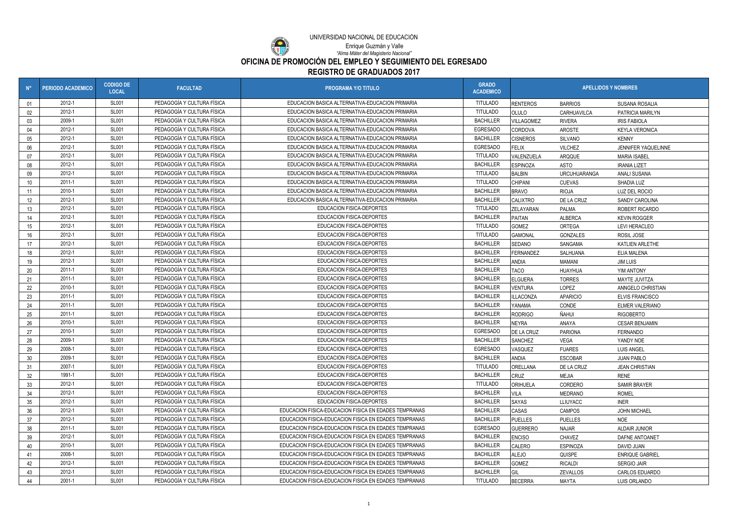| $N^{\circ}$     | <b>PERIODO ACADEMICO</b> | <b>CODIGO DE</b><br><b>LOCAL</b> | <b>FACULTAD</b>            | <b>PROGRAMA Y/O TITULO</b>                            | <b>GRADO</b><br><b>ACADEMICO</b> | <b>APELLIDOS Y NOMBRES</b> |                     |                        |
|-----------------|--------------------------|----------------------------------|----------------------------|-------------------------------------------------------|----------------------------------|----------------------------|---------------------|------------------------|
| 01              | 2012-1                   | <b>SL001</b>                     | PEDAGOGÍA Y CULTURA FÍSICA | EDUCACION BASICA ALTERNATIVA-EDUCACION PRIMARIA       | <b>TITULADO</b>                  | <b>RENTEROS</b>            | <b>BARRIOS</b>      | SUSANA ROSALIA         |
| 02              | 2012-1                   | <b>SL001</b>                     | PEDAGOGÍA Y CULTURA FÍSICA | EDUCACION BASICA ALTERNATIVA-EDUCACION PRIMARIA       | <b>TITULADO</b>                  | OLULO                      | CARHUAVILCA         | PATRICIA MARILYN       |
| 03              | 2009-1                   | <b>SL001</b>                     | PEDAGOGÍA Y CULTURA FÍSICA | EDUCACION BASICA ALTERNATIVA-EDUCACION PRIMARIA       | <b>BACHILLER</b>                 | <b>VILLAGOMEZ</b>          | <b>RIVERA</b>       | <b>IRIS FABIOLA</b>    |
| 04              | 2012-1                   | <b>SL001</b>                     | PEDAGOGÍA Y CULTURA FÍSICA | EDUCACION BASICA ALTERNATIVA-EDUCACION PRIMARIA       | <b>EGRESADO</b>                  | <b>CORDOVA</b>             | AROSTE              | <b>KEYLA VERONICA</b>  |
| 05              | 2012-1                   | <b>SL001</b>                     | PEDAGOGÍA Y CULTURA FÍSICA | EDUCACION BASICA ALTERNATIVA-EDUCACION PRIMARIA       | <b>BACHILLER</b>                 | <b>CISNEROS</b>            | <b>SILVANO</b>      | <b>KENNY</b>           |
| 06              | 2012-1                   | <b>SL001</b>                     | PEDAGOGÍA Y CULTURA FÍSICA | EDUCACION BASICA ALTERNATIVA-EDUCACION PRIMARIA       | <b>EGRESADO</b>                  | <b>FELIX</b>               | <b>VILCHEZ</b>      | JENNIFER YAQUELINNE    |
| 07              | 2012-1                   | <b>SL001</b>                     | PEDAGOGÍA Y CULTURA FÍSICA | EDUCACION BASICA ALTERNATIVA-EDUCACION PRIMARIA       | <b>TITULADO</b>                  | VALENZUELA                 | ARQQUE              | <b>MARIA ISABEL</b>    |
| 08              | 2012-1                   | <b>SL001</b>                     | PEDAGOGÍA Y CULTURA FÍSICA | EDUCACION BASICA ALTERNATIVA-EDUCACION PRIMARIA       | <b>BACHILLER</b>                 | <b>ESPINOZA</b>            | ASTO                | <b>IRANIA LIZET</b>    |
| 09              | 2012-1                   | <b>SL001</b>                     | PEDAGOGÍA Y CULTURA FÍSICA | EDUCACION BASICA ALTERNATIVA-EDUCACION PRIMARIA       | <b>TITULADO</b>                  | <b>BALBIN</b>              | <b>URCUHUARANGA</b> | ANALI SUSANA           |
| 10              | 2011-1                   | <b>SL001</b>                     | PEDAGOGÍA Y CULTURA FÍSICA | EDUCACION BASICA ALTERNATIVA-EDUCACION PRIMARIA       | <b>TITULADO</b>                  | <b>CHIPANI</b>             | <b>CUEVAS</b>       | SHADIA LUZ             |
| 11              | 2010-1                   | <b>SL001</b>                     | PEDAGOGÍA Y CULTURA FÍSICA | EDUCACION BASICA ALTERNATIVA-EDUCACION PRIMARIA       | <b>BACHILLER</b>                 | <b>BRAVO</b>               | <b>RIOJA</b>        | LUZ DEL ROCIO          |
| 12 <sup>°</sup> | 2012-1                   | <b>SL001</b>                     | PEDAGOGÍA Y CULTURA FÍSICA | EDUCACION BASICA ALTERNATIVA-EDUCACION PRIMARIA       | <b>BACHILLER</b>                 | <b>CALIXTRO</b>            | DE LA CRUZ          | SANDY CAROLINA         |
| 13              | 2012-1                   | <b>SL001</b>                     | PEDAGOGÍA Y CULTURA FÍSICA | EDUCACION FISICA-DEPORTES                             | <b>TITULADO</b>                  | ZELAYARAN                  | PALMA               | ROBERT RICARDO         |
| 14              | 2012-1                   | <b>SL001</b>                     | PEDAGOGÍA Y CULTURA FÍSICA | EDUCACION FISICA-DEPORTES                             | <b>BACHILLER</b>                 | PAITAN                     | ALBERCA             | <b>KEVIN ROGGER</b>    |
| 15              | 2012-1                   | <b>SL001</b>                     | PEDAGOGÍA Y CULTURA FÍSICA | EDUCACION FISICA-DEPORTES                             | <b>TITULADO</b>                  | <b>GOMEZ</b>               | ORTEGA              | LEVI HERACLEO          |
| 16              | 2012-1                   | <b>SL001</b>                     | PEDAGOGÍA Y CULTURA FÍSICA | EDUCACION FISICA-DEPORTES                             | <b>TITULADO</b>                  | <b>GAMONAL</b>             | GONZALES            | ROSIL JOSE             |
| 17              | 2012-1                   | <b>SL001</b>                     | PEDAGOGÍA Y CULTURA FÍSICA | EDUCACION FISICA-DEPORTES                             | <b>BACHILLER</b>                 | SEDANO                     | SANGAMA             | KATLIEN ARLETHE        |
| 18              | 2012-1                   | <b>SL001</b>                     | PEDAGOGÍA Y CULTURA FÍSICA | EDUCACION FISICA-DEPORTES                             | <b>BACHILLER</b>                 | FERNANDEZ                  | SALHUANA            | ELIA MALENA            |
| 19              | 2012-1                   | <b>SL001</b>                     | PEDAGOGÍA Y CULTURA FÍSICA | EDUCACION FISICA-DEPORTES                             | <b>BACHILLER</b>                 | <b>ANDIA</b>               | MAMANI              | JIM LUIS               |
| 20              | 2011-1                   | <b>SL001</b>                     | PEDAGOGÍA Y CULTURA FÍSICA | EDUCACION FISICA-DEPORTES                             | <b>BACHILLER</b>                 | <b>TACO</b>                | HUAYHUA             | YIM ANTONY             |
| 21              | 2011-1                   | <b>SL001</b>                     | PEDAGOGÍA Y CULTURA FÍSICA | EDUCACION FISICA-DEPORTES                             | <b>BACHILLER</b>                 | <b>ELGUERA</b>             | <b>TORRES</b>       | MAYTE JUVITZA          |
| 22              | 2010-1                   | <b>SL001</b>                     | PEDAGOGÍA Y CULTURA FÍSICA | EDUCACION FISICA-DEPORTES                             | <b>BACHILLER</b>                 | <b>VENTURA</b>             | LOPEZ               | ANNGELO CHRISTIAN      |
| 23              | 2011-1                   | <b>SL001</b>                     | PEDAGOGÍA Y CULTURA FÍSICA | EDUCACION FISICA-DEPORTES                             | <b>BACHILLER</b>                 | ILLACONZA                  | <b>APARICIO</b>     | <b>ELVIS FRANCISCO</b> |
| 24              | 2011-1                   | <b>SL001</b>                     | PEDAGOGÍA Y CULTURA FÍSICA | EDUCACION FISICA-DEPORTES                             | <b>BACHILLER</b>                 | YANAMA                     | CONDE               | <b>ELMER VALERIANO</b> |
| 25              | 2011-1                   | <b>SL001</b>                     | PEDAGOGÍA Y CULTURA FÍSICA | EDUCACION FISICA-DEPORTES                             | <b>BACHILLER</b>                 | <b>RODRIGO</b>             | Ñahui               | <b>RIGOBERTO</b>       |
| 26              | 2010-1                   | <b>SL001</b>                     | PEDAGOGÍA Y CULTURA FÍSICA | EDUCACION FISICA-DEPORTES                             | <b>BACHILLER</b>                 | <b>NEYRA</b>               | ANAYA               | <b>CESAR BENJAMIN</b>  |
| 27              | 2010-1                   | <b>SL001</b>                     | PEDAGOGÍA Y CULTURA FÍSICA | EDUCACION FISICA-DEPORTES                             | <b>EGRESADO</b>                  | <b>DE LA CRUZ</b>          | PARIONA             | FERNANDO               |
| 28              | 2009-1                   | <b>SL001</b>                     | PEDAGOGÍA Y CULTURA FÍSICA | EDUCACION FISICA-DEPORTES                             | <b>BACHILLER</b>                 | <b>SANCHEZ</b>             | VEGA                | YANDY NOE              |
| 29              | 2008-1                   | <b>SL001</b>                     | PEDAGOGÍA Y CULTURA FÍSICA | EDUCACION FISICA-DEPORTES                             | EGRESADO                         | VASQUEZ                    | <b>FUARES</b>       | <b>LUIS ANGEL</b>      |
| $30^{\circ}$    | 2009-1                   | <b>SL001</b>                     | PEDAGOGÍA Y CULTURA FÍSICA | EDUCACION FISICA-DEPORTES                             | <b>BACHILLER</b>                 | <b>ANDIA</b>               | <b>ESCOBAR</b>      | <b>JUAN PABLO</b>      |
| 31              | 2007-1                   | <b>SL001</b>                     | PEDAGOGÍA Y CULTURA FÍSICA | EDUCACION FISICA-DEPORTES                             | <b>TITULADO</b>                  | <b>ORELLANA</b>            | DE LA CRUZ          | <b>JEAN CHRISTIAN</b>  |
| 32              | 1991-1                   | <b>SL001</b>                     | PEDAGOGÍA Y CULTURA FÍSICA | EDUCACION FISICA-DEPORTES                             | <b>BACHILLER</b>                 | <b>CRUZ</b>                | <b>MEJIA</b>        | <b>RENE</b>            |
| 33              | 2012-1                   | <b>SL001</b>                     | PEDAGOGÍA Y CULTURA FÍSICA | EDUCACION FISICA-DEPORTES                             | <b>TITULADO</b>                  | <b>ORIHUELA</b>            | CORDERO             | <b>SAMIR BRAYER</b>    |
| 34              | 2012-1                   | <b>SL001</b>                     | PEDAGOGÍA Y CULTURA FÍSICA | EDUCACION FISICA-DEPORTES                             | <b>BACHILLER</b>                 | <b>VILA</b>                | <b>MEDRANO</b>      | <b>ROMEL</b>           |
| 35              | 2012-1                   | <b>SL001</b>                     | PEDAGOGÍA Y CULTURA FÍSICA | EDUCACION FISICA-DEPORTES                             | <b>BACHILLER</b>                 | <b>SAYAS</b>               | LLIUYACC            | <b>INER</b>            |
| 36              | 2012-1                   | <b>SL001</b>                     | PEDAGOGÍA Y CULTURA FÍSICA | EDUCACION FISICA-EDUCACION FISICA EN EDADES TEMPRANAS | <b>BACHILLER</b>                 | <b>CASAS</b>               | <b>CAMPOS</b>       | <b>JOHN MICHAEL</b>    |
| 37              | 2012-1                   | <b>SL001</b>                     | PEDAGOGÍA Y CULTURA FÍSICA | EDUCACION FISICA-EDUCACION FISICA EN EDADES TEMPRANAS | <b>BACHILLER</b>                 | <b>PUELLES</b>             | <b>PUELLES</b>      | NOE                    |
| 38              | 2011-1                   | <b>SL001</b>                     | PEDAGOGÍA Y CULTURA FÍSICA | EDUCACION FISICA-EDUCACION FISICA EN EDADES TEMPRANAS | <b>EGRESADO</b>                  | <b>GUERRERO</b>            | NAJAR               | ALDAIR JUNIOR          |
| 39              | 2012-1                   | <b>SL001</b>                     | PEDAGOGÍA Y CULTURA FÍSICA | EDUCACION FISICA-EDUCACION FISICA EN EDADES TEMPRANAS | <b>BACHILLER</b>                 | <b>ENCISO</b>              | CHAVEZ              | DAFNE ANTOANET         |
| 40              | 2010-1                   | <b>SL001</b>                     | PEDAGOGÍA Y CULTURA FÍSICA | EDUCACION FISICA-EDUCACION FISICA EN EDADES TEMPRANAS | <b>BACHILLER</b>                 | <b>CALERO</b>              | <b>ESPINOZA</b>     | DAVID JUAN             |
| 41              | 2008-1                   | <b>SL001</b>                     | PEDAGOGÍA Y CULTURA FÍSICA | EDUCACION FISICA-EDUCACION FISICA EN EDADES TEMPRANAS | <b>BACHILLER</b>                 | ALEJO                      | QUISPE              | <b>ENRIQUE GABRIEL</b> |
| 42              | 2012-1                   | <b>SL001</b>                     | PEDAGOGÍA Y CULTURA FÍSICA | EDUCACION FISICA-EDUCACION FISICA EN EDADES TEMPRANAS | <b>BACHILLER</b>                 | <b>GOMEZ</b>               | <b>RICALDI</b>      | SERGIO JAIR            |
| 43              | 2012-1                   | <b>SL001</b>                     | PEDAGOGÍA Y CULTURA FÍSICA | EDUCACION FISICA-EDUCACION FISICA EN EDADES TEMPRANAS | <b>BACHILLER</b>                 | GIL                        | ZEVALLOS            | CARLOS EDUARDO         |
| 44              | 2001-1                   | <b>SL001</b>                     | PEDAGOGÍA Y CULTURA FÍSICA | EDUCACION FISICA-EDUCACION FISICA EN EDADES TEMPRANAS | <b>TITULADO</b>                  | <b>BECERRA</b>             | <b>MAYTA</b>        | LUIS ORLANDO           |



**OFICINA DE PROMOCIÓN DEL EMPLEO Y SEGUIMIENTO DEL EGRESADO**

**REGISTRO DE GRADUADOS 2017**

*"Alma Máter del Magisterio Nacional"* Enrique Guzmán y Valle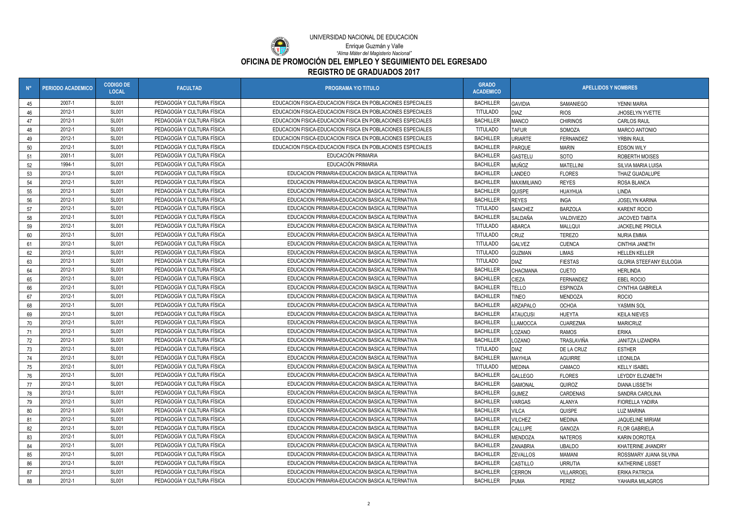

**OFICINA DE PROMOCIÓN DEL EMPLEO Y SEGUIMIENTO DEL EGRESADO**

## **REGISTRO DE GRADUADOS 2017**

*"Alma Máter del Magisterio Nacional"* Enrique Guzmán y Valle

| $N^{\circ}$          | <b>PERIODO ACADEMICO</b> | <b>CODIGO DE</b><br><b>LOCAL</b> | <b>FACULTAD</b>            | <b>PROGRAMA Y/O TITULO</b>                                  | <b>GRADO</b><br><b>ACADEMICO</b> | <b>APELLIDOS Y NOMBRES</b> |                                          |                                |  |
|----------------------|--------------------------|----------------------------------|----------------------------|-------------------------------------------------------------|----------------------------------|----------------------------|------------------------------------------|--------------------------------|--|
| 45                   | 2007-1                   | <b>SL001</b>                     | PEDAGOGÍA Y CULTURA FÍSICA | EDUCACION FISICA-EDUCACION FISICA EN POBLACIONES ESPECIALES | <b>BACHILLER</b>                 | <b>GAVIDIA</b>             | SAMANIEGO                                | YENNI MARIA                    |  |
| 46                   | 2012-1                   | <b>SL001</b>                     | PEDAGOGÍA Y CULTURA FÍSICA | EDUCACION FISICA-EDUCACION FISICA EN POBLACIONES ESPECIALES | <b>TITULADO</b>                  | <b>DIAZ</b>                | <b>RIOS</b>                              | JHOSELYN YVETTE                |  |
| 47                   | 2012-1                   | <b>SL001</b>                     | PEDAGOGÍA Y CULTURA FÍSICA | EDUCACION FISICA-EDUCACION FISICA EN POBLACIONES ESPECIALES | <b>BACHILLER</b>                 | <b>MANCO</b>               | <b>CHIRINOS</b>                          | <b>CARLOS RAUL</b>             |  |
| 48                   | 2012-1                   | <b>SL001</b>                     | PEDAGOGÍA Y CULTURA FÍSICA | EDUCACION FISICA-EDUCACION FISICA EN POBLACIONES ESPECIALES | <b>TITULADO</b>                  | <b>TAFUR</b>               | SOMOZA                                   | <b>MARCO ANTONIO</b>           |  |
| 49                   | 2012-1                   | <b>SL001</b>                     | PEDAGOGÍA Y CULTURA FÍSICA | EDUCACION FISICA-EDUCACION FISICA EN POBLACIONES ESPECIALES | <b>BACHILLER</b>                 | <b>URIARTE</b>             | FERNANDEZ                                | <b>YRBIN RAUL</b>              |  |
| 50                   | 2012-1                   | <b>SL001</b>                     | PEDAGOGÍA Y CULTURA FÍSICA | EDUCACION FISICA-EDUCACION FISICA EN POBLACIONES ESPECIALES | <b>BACHILLER</b>                 | PARQUE                     | <b>MARIN</b>                             | <b>EDSON WILY</b>              |  |
| 51                   | 2001-1                   | <b>SL001</b>                     | PEDAGOGÍA Y CULTURA FÍSICA | EDUCACIÓN PRIMARIA                                          | <b>BACHILLER</b>                 | <b>GASTELU</b>             | SOTO                                     | <b>ROBERTH MOISES</b>          |  |
| 52                   | 1994-1                   | <b>SL001</b>                     | PEDAGOGÍA Y CULTURA FÍSICA | EDUCACIÓN PRIMARIA                                          | <b>BACHILLER</b>                 | <b>MUÑOZ</b>               | <b>MATELLINI</b>                         | SILVIA MARIA LUISA             |  |
| 53                   | 2012-1                   | <b>SL001</b>                     | PEDAGOGÍA Y CULTURA FÍSICA | EDUCACION PRIMARIA-EDUCACION BASICA ALTERNATIVA             | <b>BACHILLER</b>                 | LANDEO                     | <b>FLORES</b>                            | THAIZ GUADALUPE                |  |
| 54                   | 2012-1                   | <b>SL001</b>                     | PEDAGOGÍA Y CULTURA FÍSICA | EDUCACION PRIMARIA-EDUCACION BASICA ALTERNATIVA             | <b>BACHILLER</b>                 | <b>MAXIMILIANO</b>         | <b>REYES</b>                             | ROSA BLANCA                    |  |
| 55                   | 2012-1                   | <b>SL001</b>                     | PEDAGOGÍA Y CULTURA FÍSICA | EDUCACION PRIMARIA-EDUCACION BASICA ALTERNATIVA             | <b>BACHILLER</b>                 | QUISPE                     | HUAYHUA                                  | <b>LINDA</b>                   |  |
| 56                   | 2012-1                   | <b>SL001</b>                     | PEDAGOGÍA Y CULTURA FÍSICA | EDUCACION PRIMARIA-EDUCACION BASICA ALTERNATIVA             | <b>BACHILLER</b>                 | <b>REYES</b>               | <b>INGA</b>                              | <b>JOSELYN KARINA</b>          |  |
| 57                   | 2012-1                   | <b>SL001</b>                     | PEDAGOGÍA Y CULTURA FÍSICA | EDUCACION PRIMARIA-EDUCACION BASICA ALTERNATIVA             | <b>TITULADO</b>                  | <b>SANCHEZ</b>             | <b>BARZOLA</b>                           | <b>KARENT ROCIO</b>            |  |
| 58                   | 2012-1                   | <b>SL001</b>                     | PEDAGOGÍA Y CULTURA FÍSICA | EDUCACION PRIMARIA-EDUCACION BASICA ALTERNATIVA             | <b>BACHILLER</b>                 | SALDAÑA                    | VALDIVIEZO                               | <b>JACOVED TABITA</b>          |  |
| 59                   | 2012-1                   | <b>SL001</b>                     | PEDAGOGÍA Y CULTURA FÍSICA | EDUCACION PRIMARIA-EDUCACION BASICA ALTERNATIVA             | <b>TITULADO</b>                  | ABARCA                     | <b>MALLQUI</b>                           | <b>JACKELINE PRICILA</b>       |  |
| 60                   | 2012-1                   | <b>SL001</b>                     | PEDAGOGÍA Y CULTURA FÍSICA | EDUCACION PRIMARIA-EDUCACION BASICA ALTERNATIVA             | <b>TITULADO</b>                  | <b>CRUZ</b>                | <b>TEREZO</b>                            | <b>NURIA EMMA</b>              |  |
| 61                   | 2012-1                   | <b>SL001</b>                     | PEDAGOGÍA Y CULTURA FÍSICA | EDUCACION PRIMARIA-EDUCACION BASICA ALTERNATIVA             | <b>TITULADO</b>                  | <b>GALVEZ</b>              | <b>CUENCA</b>                            | <b>CINTHIA JANETH</b>          |  |
| 62                   | 2012-1                   | <b>SL001</b>                     | PEDAGOGÍA Y CULTURA FÍSICA | EDUCACION PRIMARIA-EDUCACION BASICA ALTERNATIVA             | <b>TITULADC</b>                  | <b>GUZMAN</b>              | <b>LIMAS</b>                             | <b>HELLEN KELLER</b>           |  |
| 63                   | 2012-1                   | <b>SL001</b>                     | PEDAGOGÍA Y CULTURA FÍSICA | EDUCACION PRIMARIA-EDUCACION BASICA ALTERNATIVA             | <b>TITULADO</b>                  | <b>DIAZ</b>                | <b>FIESTAS</b>                           | <b>GLORIA STEEFANY EULOGIA</b> |  |
| 64                   | 2012-1                   | <b>SL001</b>                     | PEDAGOGÍA Y CULTURA FÍSICA | EDUCACION PRIMARIA-EDUCACION BASICA ALTERNATIVA             | <b>BACHILLER</b>                 | <b>CHACMANA</b>            | <b>CUETO</b>                             | <b>HERLINDA</b>                |  |
| 65                   | 2012-1                   | <b>SL001</b>                     | PEDAGOGÍA Y CULTURA FÍSICA | EDUCACION PRIMARIA-EDUCACION BASICA ALTERNATIVA             | <b>BACHILLER</b>                 | <b>CIEZA</b>               | FERNANDEZ                                | <b>EBEL ROCIO</b>              |  |
| 66                   | 2012-1                   | <b>SL001</b>                     | PEDAGOGÍA Y CULTURA FÍSICA | EDUCACION PRIMARIA-EDUCACION BASICA ALTERNATIVA             | <b>BACHILLER</b>                 | TELLO                      | <b>ESPINOZA</b>                          | CYNTHIA GABRIELA               |  |
| 67                   | 2012-1                   | <b>SL001</b>                     | PEDAGOGÍA Y CULTURA FÍSICA | EDUCACION PRIMARIA-EDUCACION BASICA ALTERNATIVA             | <b>BACHILLER</b>                 | <b>TINEO</b>               | <b>MENDOZA</b>                           | <b>ROCIO</b>                   |  |
| 68                   | 2012-1                   | <b>SL001</b>                     | PEDAGOGÍA Y CULTURA FÍSICA | EDUCACION PRIMARIA-EDUCACION BASICA ALTERNATIVA             | <b>BACHILLER</b>                 | <b>ARZAPALO</b>            | YASMIN SOL<br><b>OCHOA</b>               |                                |  |
| 69                   | 2012-1                   | <b>SL001</b>                     | PEDAGOGÍA Y CULTURA FÍSICA | EDUCACION PRIMARIA-EDUCACION BASICA ALTERNATIVA             | <b>BACHILLER</b>                 | ATAUCUSI                   | <b>HUEYTA</b><br><b>KEILA NIEVES</b>     |                                |  |
| 70                   | 2012-1                   | <b>SL001</b>                     | PEDAGOGÍA Y CULTURA FÍSICA | EDUCACION PRIMARIA-EDUCACION BASICA ALTERNATIVA             | <b>BACHILLER</b>                 | LLAMOCCA                   | <b>CUAREZMA</b>                          | <b>MARICRUZ</b>                |  |
| 71                   | 2012-1                   | <b>SL001</b>                     | PEDAGOGÍA Y CULTURA FÍSICA | EDUCACION PRIMARIA-EDUCACION BASICA ALTERNATIVA             | <b>BACHILLER</b>                 | LOZANO                     | <b>RAMOS</b><br><b>ERIKA</b>             |                                |  |
| 72                   | 2012-1                   | <b>SL001</b>                     | PEDAGOGÍA Y CULTURA FÍSICA | EDUCACION PRIMARIA-EDUCACION BASICA ALTERNATIVA             | <b>BACHILLER</b>                 | <b>LOZANO</b>              | TRASLAVIÑA                               | JANITZA LIZANDRA               |  |
| 73                   | 2012-1                   | <b>SL001</b>                     | PEDAGOGÍA Y CULTURA FÍSICA | EDUCACION PRIMARIA-EDUCACION BASICA ALTERNATIVA             | <b>TITULADO</b>                  | <b>DIAZ</b>                | DE LA CRUZ                               | <b>ESTHER</b>                  |  |
| 71<br>$\overline{1}$ | 2012-1                   | <b>SL001</b>                     | PEDAGOGÍA Y CULTURA FÍSICA | EDUCACION PRIMARIA-EDUCACION BASICA ALTERNATIVA             | <b>BACHILLER</b>                 | MAYHUA                     | <b>AGUIRRE</b>                           | LEONILDA                       |  |
| 75                   | 2012-1                   | <b>SL001</b>                     | PEDAGOGÍA Y CULTURA FÍSICA | EDUCACION PRIMARIA-EDUCACION BASICA ALTERNATIVA             | <b>TITULADO</b>                  | <b>MEDINA</b>              | CAMACO                                   | <b>KELLY ISABEL</b>            |  |
| 76                   | 2012-1                   | <b>SL001</b>                     | PEDAGOGÍA Y CULTURA FÍSICA | EDUCACION PRIMARIA-EDUCACION BASICA ALTERNATIVA             | <b>BACHILLER</b>                 | <b>GALLEGO</b>             | <b>FLORES</b>                            | LEYDDY ELIZABETH               |  |
| 77                   | 2012-1                   | <b>SL001</b>                     | PEDAGOGÍA Y CULTURA FÍSICA | EDUCACION PRIMARIA-EDUCACION BASICA ALTERNATIVA             | <b>BACHILLER</b>                 | <b>GAMONAL</b>             | QUIROZ<br><b>DIANA LISSETH</b>           |                                |  |
| 78                   | 2012-1                   | <b>SL001</b>                     | PEDAGOGÍA Y CULTURA FÍSICA | EDUCACION PRIMARIA-EDUCACION BASICA ALTERNATIVA             | <b>BACHILLER</b>                 | <b>GUMEZ</b>               | CARDENAS<br>SANDRA CAROLINA              |                                |  |
| 79                   | 2012-1                   | <b>SL001</b>                     | PEDAGOGÍA Y CULTURA FÍSICA | EDUCACION PRIMARIA-EDUCACION BASICA ALTERNATIVA             | <b>BACHILLER</b>                 | VARGAS                     | <b>ALANYA</b><br><b>FIORELLA YADIRA</b>  |                                |  |
| 80                   | 2012-1                   | <b>SL001</b>                     | PEDAGOGÍA Y CULTURA FÍSICA | EDUCACION PRIMARIA-EDUCACION BASICA ALTERNATIVA             | <b>BACHILLER</b>                 | <b>VILCA</b>               | QUISPE<br>LUZ MARINA                     |                                |  |
| 81                   | 2012-1                   | <b>SL001</b>                     | PEDAGOGÍA Y CULTURA FÍSICA | EDUCACION PRIMARIA-EDUCACION BASICA ALTERNATIVA             | <b>BACHILLER</b>                 | <b>VILCHEZ</b>             | <b>MEDINA</b><br><b>JAQUELINE MIRIAM</b> |                                |  |
| 82                   | 2012-1                   | <b>SL001</b>                     | PEDAGOGÍA Y CULTURA FÍSICA | EDUCACION PRIMARIA-EDUCACION BASICA ALTERNATIVA             | <b>BACHILLER</b>                 | <b>CALLUPE</b>             | GANOZA<br><b>FLOR GABRIELA</b>           |                                |  |
| 83                   | 2012-1                   | <b>SL001</b>                     | PEDAGOGÍA Y CULTURA FÍSICA | EDUCACION PRIMARIA-EDUCACION BASICA ALTERNATIVA             | <b>BACHILLER</b>                 | MENDOZA                    | <b>NATEROS</b><br>KARIN DOROTEA          |                                |  |
| 84                   | 2012-1                   | <b>SL001</b>                     | PEDAGOGÍA Y CULTURA FÍSICA | EDUCACION PRIMARIA-EDUCACION BASICA ALTERNATIVA             | <b>BACHILLER</b>                 | <b>ZANABRIA</b>            | UBALDO                                   | KHATERINE JHANDRY              |  |
| 85                   | 2012-1                   | <b>SL001</b>                     | PEDAGOGÍA Y CULTURA FÍSICA | EDUCACION PRIMARIA-EDUCACION BASICA ALTERNATIVA             | <b>BACHILLER</b>                 | <b>ZEVALLOS</b>            | MAMANI                                   | ROSSMARY JUANA SILVINA         |  |
| 86                   | 2012-1                   | <b>SL001</b>                     | PEDAGOGÍA Y CULTURA FÍSICA | EDUCACION PRIMARIA-EDUCACION BASICA ALTERNATIVA             | <b>BACHILLER</b>                 | CASTILLO                   | <b>URRUTIA</b>                           | <b>KATHERINE LISSET</b>        |  |
| 87                   | 2012-1                   | <b>SL001</b>                     | PEDAGOGÍA Y CULTURA FÍSICA | EDUCACION PRIMARIA-EDUCACION BASICA ALTERNATIVA             | <b>BACHILLER</b>                 | <b>CERRON</b>              | VILLARROEL                               | <b>ERIKA PATRICIA</b>          |  |
| 88                   | 2012-1                   | <b>SL001</b>                     | PEDAGOGÍA Y CULTURA FÍSICA | EDUCACION PRIMARIA-EDUCACION BASICA ALTERNATIVA             | <b>BACHILLER</b>                 | <b>PUMA</b>                | PEREZ                                    | YAHAIRA MILAGROS               |  |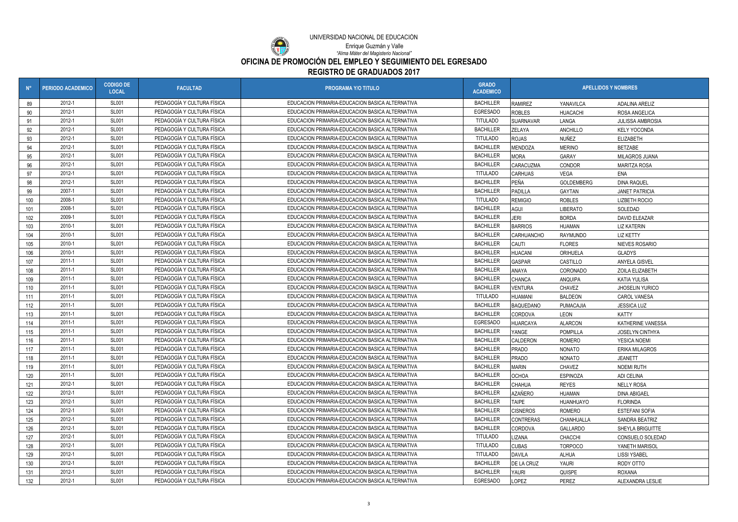**OFICINA DE PROMOCIÓN DEL EMPLEO Y SEGUIMIENTO DEL EGRESADO**

**REGISTRO DE GRADUADOS 2017**

*"Alma Máter del Magisterio Nacional"*

Enrique Guzmán y Valle

O

| $N^{\circ}$ | <b>PERIODO ACADEMICO</b> | <b>CODIGO DE</b><br><b>LOCAL</b> | <b>FACULTAD</b>            | <b>PROGRAMA Y/O TITULO</b>                      | <b>GRADO</b><br><b>ACADEMICO</b> | <b>APELLIDOS Y NOMBRES</b> |                 |                         |
|-------------|--------------------------|----------------------------------|----------------------------|-------------------------------------------------|----------------------------------|----------------------------|-----------------|-------------------------|
| 89          | 2012-1                   | <b>SL001</b>                     | PEDAGOGÍA Y CULTURA FÍSICA | EDUCACION PRIMARIA-EDUCACION BASICA ALTERNATIVA | <b>BACHILLER</b>                 | <b>RAMIREZ</b>             | YANAVILCA       | <b>ADALINA ARELIZ</b>   |
| 90          | 2012-1                   | <b>SL001</b>                     | PEDAGOGÍA Y CULTURA FÍSICA | EDUCACION PRIMARIA-EDUCACION BASICA ALTERNATIVA | EGRESADO                         | <b>ROBLES</b>              | <b>HUACACHI</b> | ROSA ANGELICA           |
| 91          | 2012-1                   | <b>SL001</b>                     | PEDAGOGÍA Y CULTURA FÍSICA | EDUCACION PRIMARIA-EDUCACION BASICA ALTERNATIVA | <b>TITULADO</b>                  | <b>SUARNAVAR</b>           | LANGA           | <b>JULISSA AMBROSIA</b> |
| 92          | 2012-1                   | <b>SL001</b>                     | PEDAGOGÍA Y CULTURA FÍSICA | EDUCACION PRIMARIA-EDUCACION BASICA ALTERNATIVA | <b>BACHILLER</b>                 | <b>ZELAYA</b>              | ANCHILLO        | <b>KELY YOCONDA</b>     |
| 93          | 2012-1                   | <b>SL001</b>                     | PEDAGOGÍA Y CULTURA FÍSICA | EDUCACION PRIMARIA-EDUCACION BASICA ALTERNATIVA | <b>TITULADO</b>                  | <b>ROJAS</b>               | NUÑEZ           | <b>ELIZABETH</b>        |
| 94          | 2012-1                   | <b>SL001</b>                     | PEDAGOGÍA Y CULTURA FÍSICA | EDUCACION PRIMARIA-EDUCACION BASICA ALTERNATIVA | <b>BACHILLER</b>                 | <b>MENDOZA</b>             | <b>MERINO</b>   | <b>BETZABE</b>          |
| 95          | 2012-1                   | <b>SL001</b>                     | PEDAGOGÍA Y CULTURA FÍSICA | EDUCACION PRIMARIA-EDUCACION BASICA ALTERNATIVA | <b>BACHILLER</b>                 | <b>MORA</b>                | GARAY           | MILAGROS JUANA          |
| 96          | 2012-1                   | <b>SL001</b>                     | PEDAGOGÍA Y CULTURA FÍSICA | EDUCACION PRIMARIA-EDUCACION BASICA ALTERNATIVA | <b>BACHILLER</b>                 | <b>CARACUZMA</b>           | CONDOR          | <b>MARITZA ROSA</b>     |
| 97          | 2012-1                   | <b>SL001</b>                     | PEDAGOGÍA Y CULTURA FÍSICA | EDUCACION PRIMARIA-EDUCACION BASICA ALTERNATIVA | <b>TITULADO</b>                  | <b>CARHUAS</b>             | VEGA            | ENA                     |
| 98          | 2012-1                   | <b>SL001</b>                     | PEDAGOGÍA Y CULTURA FÍSICA | EDUCACION PRIMARIA-EDUCACION BASICA ALTERNATIVA | <b>BACHILLER</b>                 | PEÑA                       | GOLDEMBERG      | <b>DINA RAQUEL</b>      |
| 99          | 2007-1                   | <b>SL001</b>                     | PEDAGOGÍA Y CULTURA FÍSICA | EDUCACION PRIMARIA-EDUCACION BASICA ALTERNATIVA | <b>BACHILLER</b>                 | PADILLA                    | GAYTAN          | <b>JANET PATRICIA</b>   |
| 100         | 2008-1                   | <b>SL001</b>                     | PEDAGOGÍA Y CULTURA FÍSICA | EDUCACION PRIMARIA-EDUCACION BASICA ALTERNATIVA | <b>TITULADO</b>                  | <b>REMIGIO</b>             | <b>ROBLES</b>   | <b>LIZBETH ROCIO</b>    |
| 101         | 2008-1                   | <b>SL001</b>                     | PEDAGOGÍA Y CULTURA FÍSICA | EDUCACION PRIMARIA-EDUCACION BASICA ALTERNATIVA | <b>BACHILLER</b>                 | <b>AGUI</b>                | <b>LIBERATO</b> | SOLEDAD                 |
| 102         | 2009-1                   | <b>SL001</b>                     | PEDAGOGÍA Y CULTURA FÍSICA | EDUCACION PRIMARIA-EDUCACION BASICA ALTERNATIVA | <b>BACHILLER</b>                 | <b>JERI</b>                | <b>BORDA</b>    | DAVID ELEAZAR           |
| 103         | 2010-1                   | <b>SL001</b>                     | PEDAGOGÍA Y CULTURA FÍSICA | EDUCACION PRIMARIA-EDUCACION BASICA ALTERNATIVA | <b>BACHILLER</b>                 | <b>BARRIOS</b>             | <b>HUAMAN</b>   | <b>LIZ KATERIN</b>      |
| 104         | 2010-1                   | <b>SL001</b>                     | PEDAGOGÍA Y CULTURA FÍSICA | EDUCACION PRIMARIA-EDUCACION BASICA ALTERNATIVA | <b>BACHILLER</b>                 | CARHUANCHO                 | RAYMUNDO        | <b>LIZ KETTY</b>        |
| 105         | 2010-1                   | <b>SL001</b>                     | PEDAGOGÍA Y CULTURA FÍSICA | EDUCACION PRIMARIA-EDUCACION BASICA ALTERNATIVA | <b>BACHILLER</b>                 | CAUTI                      | <b>FLORES</b>   | NIEVES ROSARIO          |
| 106         | 2010-1                   | <b>SL001</b>                     | PEDAGOGÍA Y CULTURA FÍSICA | EDUCACION PRIMARIA-EDUCACION BASICA ALTERNATIVA | <b>BACHILLER</b>                 | <b>HUACANI</b>             | ORIHUELA        | <b>GLADYS</b>           |
| 107         | 2011-1                   | <b>SL001</b>                     | PEDAGOGÍA Y CULTURA FÍSICA | EDUCACION PRIMARIA-EDUCACION BASICA ALTERNATIVA | <b>BACHILLER</b>                 | <b>GASPAR</b>              | CASTILLO        | <b>ANYELA GISVEL</b>    |
| 108         | 2011-1                   | <b>SL001</b>                     | PEDAGOGÍA Y CULTURA FÍSICA | EDUCACION PRIMARIA-EDUCACION BASICA ALTERNATIVA | <b>BACHILLER</b>                 | ANAYA                      | CORONADO        | ZOILA ELIZABETH         |
| 109         | 2011-1                   | <b>SL001</b>                     | PEDAGOGÍA Y CULTURA FÍSICA | EDUCACION PRIMARIA-EDUCACION BASICA ALTERNATIVA | <b>BACHILLER</b>                 | <b>CHANCA</b>              | ANQUIPA         | KATIA YULISA            |
| 110         | 2011-1                   | <b>SL001</b>                     | PEDAGOGÍA Y CULTURA FÍSICA | EDUCACION PRIMARIA-EDUCACION BASICA ALTERNATIVA | <b>BACHILLER</b>                 | <b>VENTURA</b>             | <b>CHAVEZ</b>   | JHOSELIN YURICO         |
| 111         | 2011-1                   | <b>SL001</b>                     | PEDAGOGÍA Y CULTURA FÍSICA | EDUCACION PRIMARIA-EDUCACION BASICA ALTERNATIVA | <b>TITULADO</b>                  | <b>HUAMANI</b>             | <b>BALDEON</b>  | <b>CAROL VANESA</b>     |
| 112         | 2011-1                   | <b>SL001</b>                     | PEDAGOGÍA Y CULTURA FÍSICA | EDUCACION PRIMARIA-EDUCACION BASICA ALTERNATIVA | <b>BACHILLER</b>                 | <b>BAQUEDANO</b>           | PUMACAJIA       | <b>JESSICA LUZ</b>      |
| 113         | 2011-1                   | <b>SL001</b>                     | PEDAGOGÍA Y CULTURA FÍSICA | EDUCACION PRIMARIA-EDUCACION BASICA ALTERNATIVA | <b>BACHILLER</b>                 | <b>CORDOVA</b>             | LEON            | <b>KATTY</b>            |
| 114         | 2011-1                   | <b>SL001</b>                     | PEDAGOGÍA Y CULTURA FÍSICA | EDUCACION PRIMARIA-EDUCACION BASICA ALTERNATIVA | EGRESADO                         | <b>HUARCAYA</b>            | <b>ALARCON</b>  | KATHERINE VANESSA       |
| 115         | 2011-1                   | <b>SL001</b>                     | PEDAGOGÍA Y CULTURA FÍSICA | EDUCACION PRIMARIA-EDUCACION BASICA ALTERNATIVA | <b>BACHILLER</b>                 | YANGE                      | POMPILLA        | JOSELYN CINTHYA         |
| 116         | 2011-1                   | <b>SL001</b>                     | PEDAGOGÍA Y CULTURA FÍSICA | EDUCACION PRIMARIA-EDUCACION BASICA ALTERNATIVA | <b>BACHILLER</b>                 | CALDERON                   | <b>ROMERO</b>   | YESICA NOEMI            |
| 117         | 2011-1                   | <b>SL001</b>                     | PEDAGOGÍA Y CULTURA FÍSICA | EDUCACION PRIMARIA-EDUCACION BASICA ALTERNATIVA | <b>BACHILLER</b>                 | <b>PRADO</b>               | <b>NONATO</b>   | <b>ERIKA MILAGROS</b>   |
| 118         | 2011-1                   | <b>SL001</b>                     | PEDAGOGÍA Y CULTURA FÍSICA | EDUCACION PRIMARIA-EDUCACION BASICA ALTERNATIVA | <b>BACHILLER</b>                 | <b>PRADO</b>               | <b>NONATO</b>   | <b>JEANETT</b>          |
| 119         | 2011-1                   | <b>SL001</b>                     | PEDAGOGÍA Y CULTURA FÍSICA | EDUCACION PRIMARIA-EDUCACION BASICA ALTERNATIVA | <b>BACHILLER</b>                 | <b>MARIN</b>               | <b>CHAVEZ</b>   | <b>NOEMI RUTH</b>       |
| 120         | 2011-1                   | <b>SL001</b>                     | PEDAGOGÍA Y CULTURA FÍSICA | EDUCACION PRIMARIA-EDUCACION BASICA ALTERNATIVA | <b>BACHILLER</b>                 | <b>OCHOA</b>               | <b>ESPINOZA</b> | ADI CELINA              |
| 121         | 2012-1                   | <b>SL001</b>                     | PEDAGOGÍA Y CULTURA FÍSICA | EDUCACION PRIMARIA-EDUCACION BASICA ALTERNATIVA | <b>BACHILLER</b>                 | <b>CHAHUA</b>              | <b>REYES</b>    | <b>NELLY ROSA</b>       |
| 122         | 2012-1                   | <b>SL001</b>                     | PEDAGOGÍA Y CULTURA FÍSICA | EDUCACION PRIMARIA-EDUCACION BASICA ALTERNATIVA | <b>BACHILLER</b>                 | <b>AZAÑERO</b>             | <b>HUAMAN</b>   | <b>DINA ABIGAEL</b>     |
| 123         | 2012-1                   | <b>SL001</b>                     | PEDAGOGÍA Y CULTURA FÍSICA | EDUCACION PRIMARIA-EDUCACION BASICA ALTERNATIVA | <b>BACHILLER</b>                 | <b>TAIPE</b>               | HUANHUAYO       | <b>FLORINDA</b>         |
| 124         | 2012-1                   | <b>SL001</b>                     | PEDAGOGÍA Y CULTURA FÍSICA | EDUCACION PRIMARIA-EDUCACION BASICA ALTERNATIVA | <b>BACHILLER</b>                 | <b>CISNEROS</b>            | ROMERO          | <b>ESTEFANI SOFIA</b>   |
| 125         | 2012-1                   | <b>SL001</b>                     | PEDAGOGÍA Y CULTURA FÍSICA | EDUCACION PRIMARIA-EDUCACION BASICA ALTERNATIVA | <b>BACHILLER</b>                 | <b>CONTRERAS</b>           | CHANHUALLA      | SANDRA BEATRIZ          |
| 126         | 2012-1                   | <b>SL001</b>                     | PEDAGOGÍA Y CULTURA FÍSICA | EDUCACION PRIMARIA-EDUCACION BASICA ALTERNATIVA | <b>BACHILLER</b>                 | <b>CORDOVA</b>             | <b>GALLARDO</b> | SHEYLA BRIGUITTE        |
| 127         | 2012-1                   | <b>SL001</b>                     | PEDAGOGÍA Y CULTURA FÍSICA | EDUCACION PRIMARIA-EDUCACION BASICA ALTERNATIVA | <b>TITULADO</b>                  | LIZANA                     | CHACCHI         | CONSUELO SOLEDAD        |
| 128         | 2012-1                   | <b>SL001</b>                     | PEDAGOGÍA Y CULTURA FÍSICA | EDUCACION PRIMARIA-EDUCACION BASICA ALTERNATIVA | <b>TITULADO</b>                  | <b>CUBAS</b>               | <b>TORPOCO</b>  | YANETH MARISOL          |
| 129         | 2012-1                   | <b>SL001</b>                     | PEDAGOGÍA Y CULTURA FÍSICA | EDUCACION PRIMARIA-EDUCACION BASICA ALTERNATIVA | <b>TITULADO</b>                  | <b>DAVILA</b>              | ALHUA           | <b>LISSI YSABEL</b>     |
| 130         | 2012-1                   | <b>SL001</b>                     | PEDAGOGÍA Y CULTURA FÍSICA | EDUCACION PRIMARIA-EDUCACION BASICA ALTERNATIVA | <b>BACHILLER</b>                 | DE LA CRUZ                 | YAURI           | RODY OTTO               |
| 131         | 2012-1                   | <b>SL001</b>                     | PEDAGOGÍA Y CULTURA FÍSICA | EDUCACION PRIMARIA-EDUCACION BASICA ALTERNATIVA | <b>BACHILLER</b>                 | YAURI                      | QUISPE          | ROXANA                  |
| 132         | 2012-1                   | <b>SL001</b>                     | PEDAGOGÍA Y CULTURA FÍSICA | EDUCACION PRIMARIA-EDUCACION BASICA ALTERNATIVA | <b>EGRESADO</b>                  | <b>LOPEZ</b>               | PEREZ           | ALEXANDRA LESLIE        |